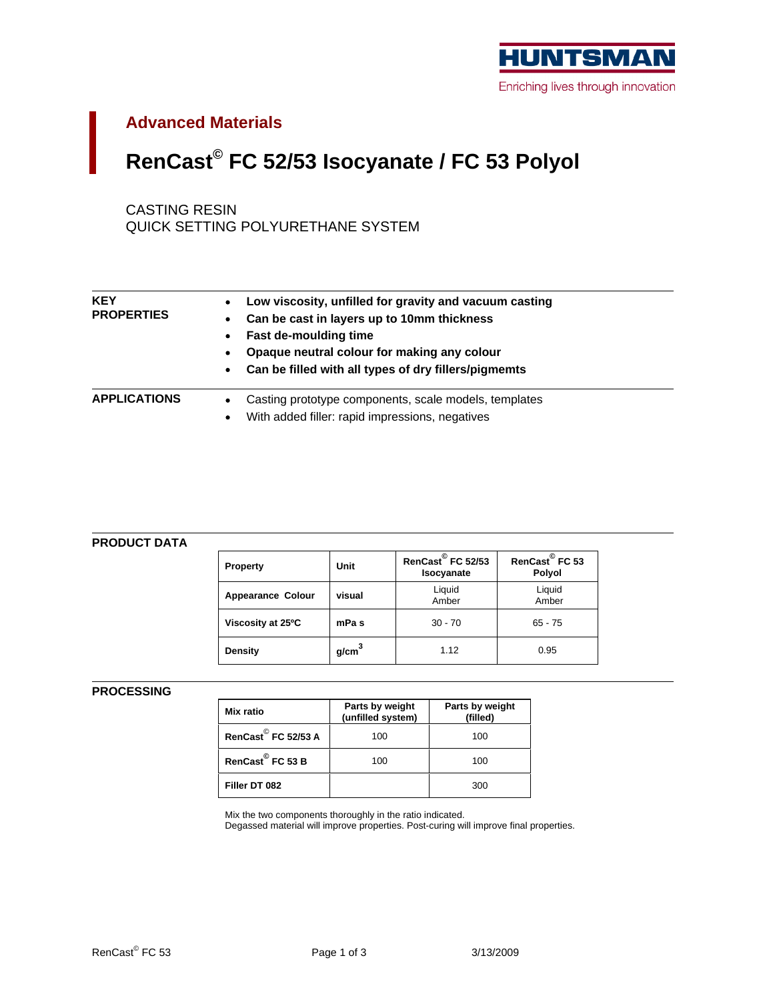

## **Advanced Materials**

# **RenCast© FC 52/53 Isocyanate / FC 53 Polyol**

CASTING RESIN QUICK SETTING POLYURETHANE SYSTEM

| <b>KEY</b>          | • Low viscosity, unfilled for gravity and vacuum casting |
|---------------------|----------------------------------------------------------|
| <b>PROPERTIES</b>   | Can be cast in layers up to 10mm thickness               |
|                     | • Fast de-moulding time                                  |
|                     | • Opaque neutral colour for making any colour            |
|                     | • Can be filled with all types of dry fillers/pigmemts   |
| <b>APPLICATIONS</b> | • Casting prototype components, scale models, templates  |
|                     | • With added filler: rapid impressions, negatives        |
|                     |                                                          |

| PRODUCT DATA |                        |                                            |                                                                           |                 |
|--------------|------------------------|--------------------------------------------|---------------------------------------------------------------------------|-----------------|
|              | <b>Property</b>        | l Unit                                     | RenCast <sup>©</sup> FC 52/53 RenCast <sup>©</sup> FC 53 Socyanate Polyol |                 |
|              | Appearance Colour      | in a shekar<br>visual                      | Liquid<br>Amber                                                           | Liquid<br>Amber |
|              | .<br>Viscosity at 25°C | the control of the control of the<br>mPa s | $30 - 70$                                                                 | $65 - 75$       |
|              | <b>Density</b>         |                                            |                                                                           | 0.95            |

### **PROCESSING**

| <b>Mix ratio</b>                | Parts by weight<br>(unfilled system) | Parts by weight<br>(filled) |
|---------------------------------|--------------------------------------|-----------------------------|
| RenCast <sup>©</sup> FC 52/53 A | 100                                  | 100                         |
| RenCast <sup>©</sup> FC 53 B    | 100                                  | 100                         |
| Filler DT 082                   |                                      | 300                         |

Mix the two components thoroughly in the ratio indicated.

Degassed material will improve properties. Post-curing will improve final properties.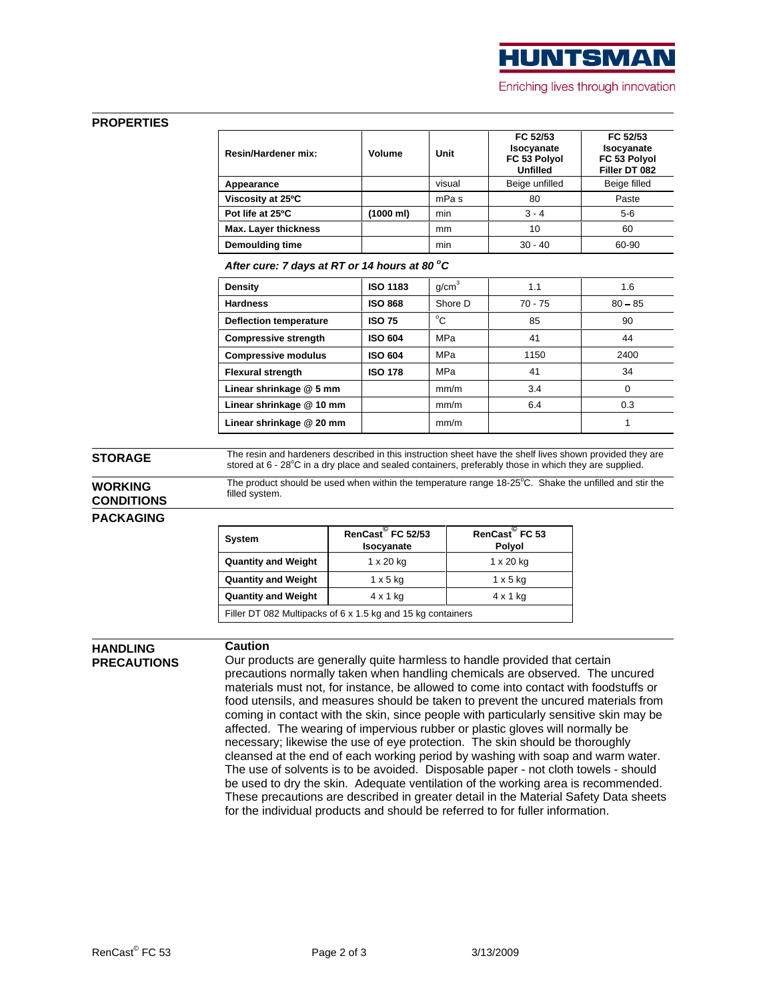

### **PROPERTIES**

| Resin/Hardener mi      | Volume    | <b>Little State</b><br>UIIIL | FC 52/53<br>Isocyanate<br>FC 53 Polyol<br><b>Unfilled</b> | FC 52/53<br>Isocyanatr<br>FC 53 Polyol<br>Filler DT 082 |
|------------------------|-----------|------------------------------|-----------------------------------------------------------|---------------------------------------------------------|
| Appearance             |           | visual                       | Beige unfilled                                            | Beige fille                                             |
| Viscosity at 25°C      |           |                              |                                                           |                                                         |
| Pot life at 25°C       | (1000 ml) |                              |                                                           |                                                         |
| Max. Layer thickness   |           | $\sim$                       |                                                           |                                                         |
| <b>Demoulding time</b> |           |                              | - 40<br>$\sim$                                            | ດດ-ລດ                                                   |

**After cure: 7 days at RT or 14 hours at 80 oC**

| Density                     | <b>ISO 1183</b> | g/cm <sup>3</sup> |         |           |
|-----------------------------|-----------------|-------------------|---------|-----------|
| <b>Hardness</b>             | <b>ISO 868</b>  | Shore D           | 70 - 75 | $80 - 85$ |
| Deflection temperature      | <b>ISO 75</b>   |                   |         |           |
| <b>Compressive strength</b> | <b>ISO 604</b>  | MPa               |         |           |
| Compressive modulus         | <b>ISO 604</b>  | MPa               |         |           |
| Flexural strength           | <b>ISO 178</b>  | MPa               |         |           |
| Linear shrinkage @ 5 mm     |                 | mm/m              |         |           |
| Linear shrinkage @ 10 mm    |                 | mm/m              |         |           |
| Linear shrinkage @ 20 mm    |                 | mm/m              |         |           |

**STORAGE** The resin and hardeners described in this instruction sheet have the shelf lives shown provided they are stored at  $6 - 28^{\circ}$ C in a dry place and sealed containers, preferably those in which they are supplied.

**WORKING** The product should be used when within the temperature range 18-25°C. Shake the unfilled and stir the stilled over the stilled over the stilled over the stilled over the stilled over the stilled over the stilled **CONDITIONS Example 2** system. filled system.

### **PACKAGING**

| System                                                      | RenCast FC 52/53 | RenCast FC 53   |
|-------------------------------------------------------------|------------------|-----------------|
|                                                             | Isocyanate       | Polyol          |
| <b>Quantity and Weight</b>                                  | $1 \times 20$ kg | 1 x 20 kg       |
| <b>Quantity and Weight</b>                                  | $1 \times 5$ kg  | $1 \times 5$ kg |
| <b>Quantity and Weight</b>                                  | $4 \times 1$ kg  | $4 \times 1$ kg |
| Filler DT 082 Multipacks of 6 x 1.5 kg and 15 kg containers |                  |                 |

**HANDLING** 

### **Caution Caution**

**PRECAUTIONS** Our products are generally quite harmless to handle provided that certain precautions normally taken when handling chemicals are observed. The uncured materials must not, for instance, be allowed to come into contact with foodstuffs or food utensils, and measures should be taken to prevent the uncured materials from coming in contact with the skin, since people with particularly sensitive skin may be affected. The wearing of impervious rubber or plastic gloves will normally be necessary; likewise the use of eye protection. The skin should be thoroughly cleansed at the end of each working period by washing with soap and warm water. The use of solvents is to be avoided. Disposable paper - not cloth towels - should be used to dry the skin. Adequate ventilation of the working area is recommended. These precautions are described in greater detail in the Material Safety Data sheets for the individual products and should be referred to for fuller information.